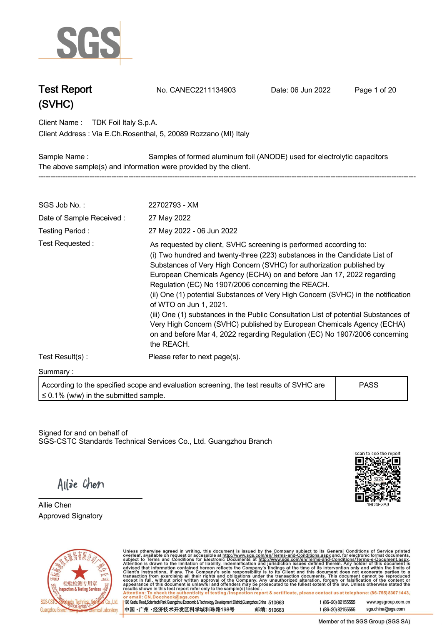

**Test Report. No. CANEC2211134903 . Date: 06 Jun 2022. Page 1 of 20.**

**Client Name : TDK Foil Italy S.p.A. .**

**Via E.Ch.Rosenthal, 5, 20089 Rozzano (MI) Italy . Client Address :**

**Sample Name : Samples of formed aluminum foil (ANODE) used for electrolytic capacitors . The above sample(s) and information were provided by the client. -----------------------------------------------------------------------------------------------------------------------------------------------------------**

| SGS Job No.:                               | 22702793 - XM                                                                                                                                                                                                                                                                                                                                                                                                                                                                                                                                                                                                                                                                                                                        |             |
|--------------------------------------------|--------------------------------------------------------------------------------------------------------------------------------------------------------------------------------------------------------------------------------------------------------------------------------------------------------------------------------------------------------------------------------------------------------------------------------------------------------------------------------------------------------------------------------------------------------------------------------------------------------------------------------------------------------------------------------------------------------------------------------------|-------------|
| Date of Sample Received:                   |                                                                                                                                                                                                                                                                                                                                                                                                                                                                                                                                                                                                                                                                                                                                      |             |
| Testing Period:                            | 27 May 2022 - 06 Jun 2022                                                                                                                                                                                                                                                                                                                                                                                                                                                                                                                                                                                                                                                                                                            |             |
| Test Requested:                            | As requested by client, SVHC screening is performed according to:<br>(i) Two hundred and twenty-three (223) substances in the Candidate List of<br>Substances of Very High Concern (SVHC) for authorization published by<br>European Chemicals Agency (ECHA) on and before Jan 17, 2022 regarding<br>Regulation (EC) No 1907/2006 concerning the REACH.<br>(ii) One (1) potential Substances of Very High Concern (SVHC) in the notification<br>of WTO on Jun 1, 2021.<br>(iii) One (1) substances in the Public Consultation List of potential Substances of<br>Very High Concern (SVHC) published by European Chemicals Agency (ECHA)<br>on and before Mar 4, 2022 regarding Regulation (EC) No 1907/2006 concerning<br>the REACH. |             |
| Test Result(s):                            | Please refer to next page(s).                                                                                                                                                                                                                                                                                                                                                                                                                                                                                                                                                                                                                                                                                                        |             |
| Summary:                                   |                                                                                                                                                                                                                                                                                                                                                                                                                                                                                                                                                                                                                                                                                                                                      |             |
| $\leq$ 0.1% (w/w) in the submitted sample. | According to the specified scope and evaluation screening, the test results of SVHC are                                                                                                                                                                                                                                                                                                                                                                                                                                                                                                                                                                                                                                              | <b>PASS</b> |

Signed for and on behalf of SGS-CSTC Standards Technical Services Co., Ltd. Guangzhou Branch.



Allie Chen

**Allie Chen. Approved Signatory . . .**



Unless otherwise agreed in writing, this document is issued by the Company subject to its General Conditions of Service printed overleaf, available on request or accessible at http://www.sgs.com/en/Terms-and-Conditions.as

198 Kezhu Road, Scientech Park Guangzhou Economic & Technology Development District, Guangzhou, China 510663 中国·广州·经济技术开发区科学城科珠路198号 邮编: 510663 t (86-20) 82155555 www.sgsgroup.com.cn sgs.china@sgs.com t (86-20) 82155555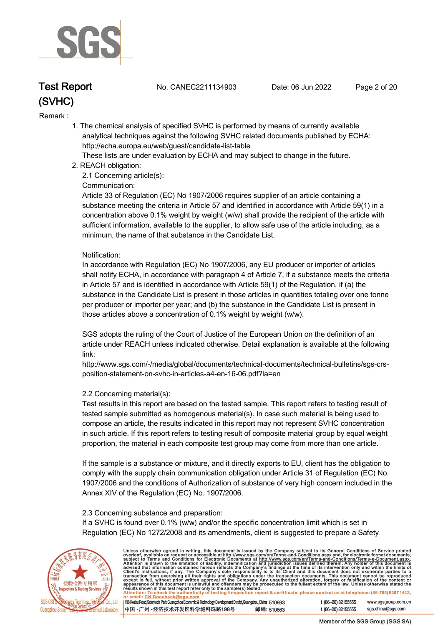

**Test Report. No. CANEC2211134903 . Date: 06 Jun 2022. Page 2 of 20.**

#### **Remark :.**

 **1. The chemical analysis of specified SVHC is performed by means of currently available analytical techniques against the following SVHC related documents published by ECHA: http://echa.europa.eu/web/guest/candidate-list-table** 

 **These lists are under evaluation by ECHA and may subject to change in the future.** 

 **2. REACH obligation:** 

 **2.1 Concerning article(s):** 

#### **Communication:**

 **Article 33 of Regulation (EC) No 1907/2006 requires supplier of an article containing a substance meeting the criteria in Article 57 and identified in accordance with Article 59(1) in a concentration above 0.1% weight by weight (w/w) shall provide the recipient of the article with sufficient information, available to the supplier, to allow safe use of the article including, as a minimum, the name of that substance in the Candidate List.** 

#### **Notification:**

 **In accordance with Regulation (EC) No 1907/2006, any EU producer or importer of articles shall notify ECHA, in accordance with paragraph 4 of Article 7, if a substance meets the criteria in Article 57 and is identified in accordance with Article 59(1) of the Regulation, if (a) the substance in the Candidate List is present in those articles in quantities totaling over one tonne per producer or importer per year; and (b) the substance in the Candidate List is present in those articles above a concentration of 0.1% weight by weight (w/w).** 

 **SGS adopts the ruling of the Court of Justice of the European Union on the definition of an article under REACH unless indicated otherwise. Detail explanation is available at the following link:** 

 **http://www.sgs.com/-/media/global/documents/technical-documents/technical-bulletins/sgs-crs position-statement-on-svhc-in-articles-a4-en-16-06.pdf?la=en** 

#### **2.2 Concerning material(s):**

 **Test results in this report are based on the tested sample. This report refers to testing result of tested sample submitted as homogenous material(s). In case such material is being used to compose an article, the results indicated in this report may not represent SVHC concentration in such article. If this report refers to testing result of composite material group by equal weight proportion, the material in each composite test group may come from more than one article.** 

 **If the sample is a substance or mixture, and it directly exports to EU, client has the obligation to comply with the supply chain communication obligation under Article 31 of Regulation (EC) No. 1907/2006 and the conditions of Authorization of substance of very high concern included in the Annex XIV of the Regulation (EC) No. 1907/2006.** 

#### **2.3 Concerning substance and preparation:**

 **If a SVHC is found over 0.1% (w/w) and/or the specific concentration limit which is set in Regulation (EC) No 1272/2008 and its amendments, client is suggested to prepare a Safety** 



Unless otherwise agreed in writing, this document is issued by the Company subject to its General Conditions of Service printed<br>overleaf, available on request or accessible at http://www.sgs.com/en/Terms-and-Conditions.as

198 Kezhu Road, Scientech Park Guangzhou Economic & Technology Development District, Guangzhou, China 510663 中国·广州·经济技术开发区科学城科珠路198号 邮编: 510663 t (86-20) 82155555 www.sgsgroup.com.cn t (86-20) 82155555 sas.china@sas.com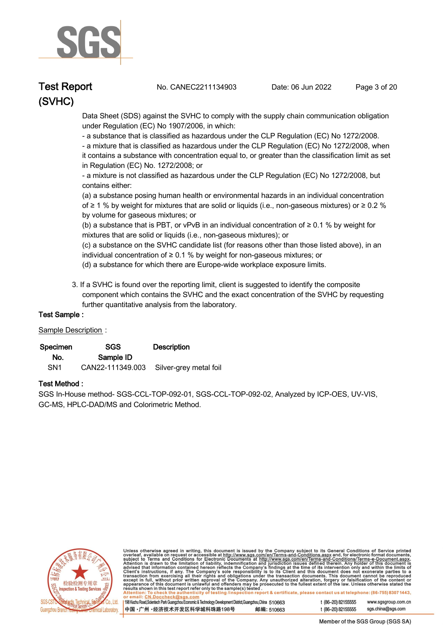

**Test Report. No. CANEC2211134903 . Date: 06 Jun 2022. Page 3 of 20.**

 **Data Sheet (SDS) against the SVHC to comply with the supply chain communication obligation under Regulation (EC) No 1907/2006, in which:** 

 **- a substance that is classified as hazardous under the CLP Regulation (EC) No 1272/2008.** 

 **- a mixture that is classified as hazardous under the CLP Regulation (EC) No 1272/2008, when it contains a substance with concentration equal to, or greater than the classification limit as set in Regulation (EC) No. 1272/2008; or** 

 **- a mixture is not classified as hazardous under the CLP Regulation (EC) No 1272/2008, but contains either:** 

 **(a) a substance posing human health or environmental hazards in an individual concentration of ≥ 1 % by weight for mixtures that are solid or liquids (i.e., non-gaseous mixtures) or ≥ 0.2 % by volume for gaseous mixtures; or** 

 **(b) a substance that is PBT, or vPvB in an individual concentration of ≥ 0.1 % by weight for mixtures that are solid or liquids (i.e., non-gaseous mixtures); or** 

 **(c) a substance on the SVHC candidate list (for reasons other than those listed above), in an individual concentration of ≥ 0.1 % by weight for non-gaseous mixtures; or** 

- **(d) a substance for which there are Europe-wide workplace exposure limits.**
- **3. If a SVHC is found over the reporting limit, client is suggested to identify the composite component which contains the SVHC and the exact concentration of the SVHC by requesting further quantitative analysis from the laboratory.**

#### **Test Sample :.**

#### **Sample Description :.**

| Specimen        | SGS              | <b>Description</b>     |
|-----------------|------------------|------------------------|
| No.             | Sample ID        |                        |
| SN <sub>1</sub> | CAN22-111349.003 | Silver-grey metal foil |

#### **Test Method :.**

**SGS In-House method- SGS-CCL-TOP-092-01, SGS-CCL-TOP-092-02, Analyzed by ICP-OES, UV-VIS, GC-MS, HPLC-DAD/MS and Colorimetric Method. .**



Unless otherwise agreed in writing, this document is issued by the Company subject to its General Conditions of Service printed<br>overleaf, available on request or accessible at http://www.sgs.com/en/Terms-and-Conditions.as

| 10663) 198 Kezhu Road, Scientech Park Guangzhou Economic & Technology Development District, Guangzhou, China 51 |            |
|-----------------------------------------------------------------------------------------------------------------|------------|
| ┃中国 •广州 •经济技术开发区科学城科珠路198号                                                                                      | 邮编: 510663 |

t (86-20) 82155555 www.sgsgroup.com.cn t (86-20) 82155555 sas.china@sas.com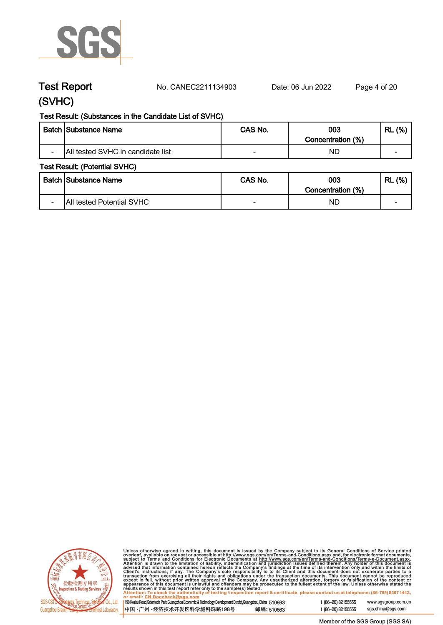

**Test Report. No. CANEC2211134903 . Date: 06 Jun 2022. Page 4 of 20.**

# **(SVHC)**

## **Test Result: (Substances in the Candidate List of SVHC)**

|                          | <b>Batch Substance Name</b>       | CAS No. | 003<br>Concentration (%) | (%)<br><b>RL</b>         |
|--------------------------|-----------------------------------|---------|--------------------------|--------------------------|
| $\overline{\phantom{0}}$ | All tested SVHC in candidate list |         | ND                       | $\overline{\phantom{0}}$ |

#### **Test Result: (Potential SVHC)**

|                          | Batch Substance Name      | CAS No. | 003<br>Concentration (%) | (%)<br><b>RL</b>         |
|--------------------------|---------------------------|---------|--------------------------|--------------------------|
| $\overline{\phantom{0}}$ | All tested Potential SVHC |         | ND                       | $\overline{\phantom{0}}$ |



Unless otherwise agreed in writing, this document is issued by the Company subject to its General Conditions of Service printed<br>overleaf, available on request or accessible at http://www.sgs.com/en/Terms-and-Conditions.as

| 198 Kezhu Road,Scientech Park Guangzhou Economic & Technology Development District,Guangzhou,China 51 0663 |            |
|------------------------------------------------------------------------------------------------------------|------------|
| 中国 •广州 •经济技术开发区科学城科珠路198号                                                                                  | 邮编: 510663 |

sgs.china@sgs.com t (86-20) 82155555

www.sgsgroup.com.cn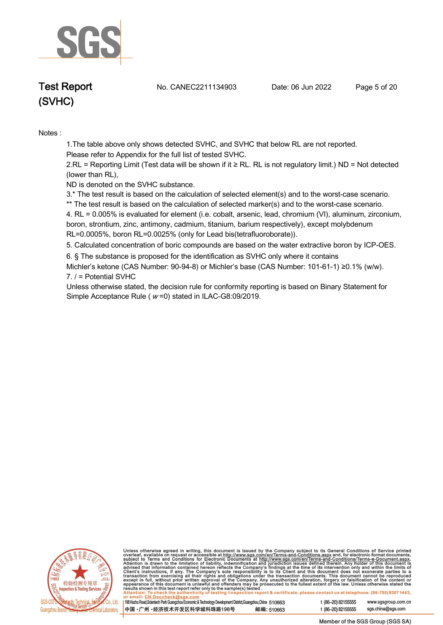

**Test Report. No. CANEC2211134903 . Date: 06 Jun 2022. Page 5 of 20.**

**Notes :.**

**1.The table above only shows detected SVHC, and SVHC that below RL are not reported.** 

**Please refer to Appendix for the full list of tested SVHC.**

**2.RL = Reporting Limit (Test data will be shown if it ≥ RL. RL is not regulatory limit.) ND = Not detected (lower than RL),** 

**ND is denoted on the SVHC substance.**

**3.\* The test result is based on the calculation of selected element(s) and to the worst-case scenario.** 

**\*\* The test result is based on the calculation of selected marker(s) and to the worst-case scenario.** 

**4. RL = 0.005% is evaluated for element (i.e. cobalt, arsenic, lead, chromium (VI), aluminum, zirconium, boron, strontium, zinc, antimony, cadmium, titanium, barium respectively), except molybdenum RL=0.0005%, boron RL=0.0025% (only for Lead bis(tetrafluoroborate)). .**

**5. Calculated concentration of boric compounds are based on the water extractive boron by ICP-OES. .**

**6. § The substance is proposed for the identification as SVHC only where it contains** 

**Michler's ketone (CAS Number: 90-94-8) or Michler's base (CAS Number: 101-61-1) ≥0.1% (w/w). 7. / = Potential SVHC .**

**Unless otherwise stated, the decision rule for conformity reporting is based on Binary Statement for Simple Acceptance Rule ( <sup>w</sup> =0) stated in ILAC-G8:09/2019. .**



Unless otherwise agreed in writing, this document is issued by the Company subject to its General Conditions of Service printed<br>overleaf, available on request or accessible at http://www.sgs.com/en/Terms-and-Conditions.as

| 198 Kezhu Road, Scientech Park Guangzhou Economic & Technology Development District, Guangzhou, China 510663 |            |
|--------------------------------------------------------------------------------------------------------------|------------|
| 中国 •广州 •经济技术开发区科学城科珠路198号                                                                                    | 邮编: 510663 |

t (86-20) 82155555 www.sgsgroup.com.cn t (86-20) 82155555 sas.china@sas.com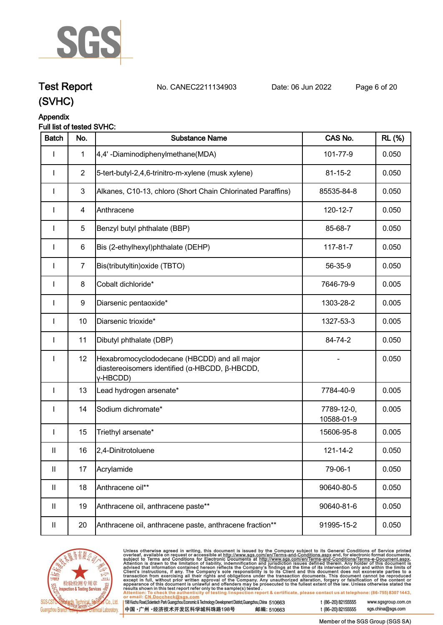

# **Test Report. No. CANEC2211134903 . Date: 06 Jun 2022. Page 6 of 20. (SVHC)**

# **Appendix**

## **Full list of tested SVHC:**

| <b>Batch</b>  | No.            | <b>Substance Name</b>                                                                                                      | CAS No.                  | <b>RL</b> (%) |
|---------------|----------------|----------------------------------------------------------------------------------------------------------------------------|--------------------------|---------------|
|               | $\mathbf{1}$   | 4,4'-Diaminodiphenylmethane(MDA)                                                                                           | 101-77-9                 | 0.050         |
|               | $\overline{2}$ | 5-tert-butyl-2,4,6-trinitro-m-xylene (musk xylene)                                                                         | $81 - 15 - 2$            | 0.050         |
|               | $\mathbf{3}$   | Alkanes, C10-13, chloro (Short Chain Chlorinated Paraffins)                                                                | 85535-84-8               | 0.050         |
| I             | 4              | Anthracene                                                                                                                 | 120-12-7                 | 0.050         |
| I             | 5              | Benzyl butyl phthalate (BBP)                                                                                               | 85-68-7                  | 0.050         |
| I             | 6              | Bis (2-ethylhexyl)phthalate (DEHP)                                                                                         | 117-81-7                 | 0.050         |
| $\mathbf{I}$  | $\overline{7}$ | Bis(tributyltin) oxide (TBTO)                                                                                              | 56-35-9                  | 0.050         |
| I             | 8              | Cobalt dichloride*                                                                                                         | 7646-79-9                | 0.005         |
| $\mathbf{I}$  | 9              | Diarsenic pentaoxide*                                                                                                      | 1303-28-2                | 0.005         |
| $\mathbf{I}$  | 10             | Diarsenic trioxide*                                                                                                        | 1327-53-3                | 0.005         |
| I             | 11             | Dibutyl phthalate (DBP)                                                                                                    | 84-74-2                  | 0.050         |
| I             | 12             | Hexabromocyclododecane (HBCDD) and all major<br>diastereoisomers identified ( $\alpha$ -HBCDD, $\beta$ -HBCDD,<br>y-HBCDD) |                          | 0.050         |
| $\mathbf{I}$  | 13             | Lead hydrogen arsenate*                                                                                                    | 7784-40-9                | 0.005         |
| I             | 14             | Sodium dichromate*                                                                                                         | 7789-12-0,<br>10588-01-9 | 0.005         |
| I             | 15             | Triethyl arsenate*                                                                                                         | 15606-95-8               | 0.005         |
| $\mathsf{I}$  | 16             | 2,4-Dinitrotoluene                                                                                                         | 121-14-2                 | 0.050         |
| $\mathbf{II}$ | 17             | Acrylamide                                                                                                                 | 79-06-1                  | 0.050         |
| $\mathbf{II}$ | 18             | Anthracene oil**                                                                                                           | 90640-80-5               | 0.050         |
| $\mathbf{II}$ | 19             | Anthracene oil, anthracene paste**                                                                                         | 90640-81-6               | 0.050         |
| Ш             | 20             | Anthracene oil, anthracene paste, anthracene fraction**                                                                    | 91995-15-2               | 0.050         |



Unless otherwise agreed in writing, this document is issued by the Company subject to its General Conditions of Service printed<br>overleaf, available on request or accessible at http://www.sgs.com/en/Terms-and-Conditions.as  $\overline{1}$ 

| 198 Kezhu Road,Scientech Park Guangzhou Economic & Technology Development District,Guangzhou,China 510663 |            |
|-----------------------------------------------------------------------------------------------------------|------------|
| 【中国 •广州 •经济技术开发区科学城科珠路198号 ↓                                                                              | 邮编: 510663 |

t (86-20) 82155555 www.sgsgroup.com.cn sgs.china@sgs.com t (86-20) 82155555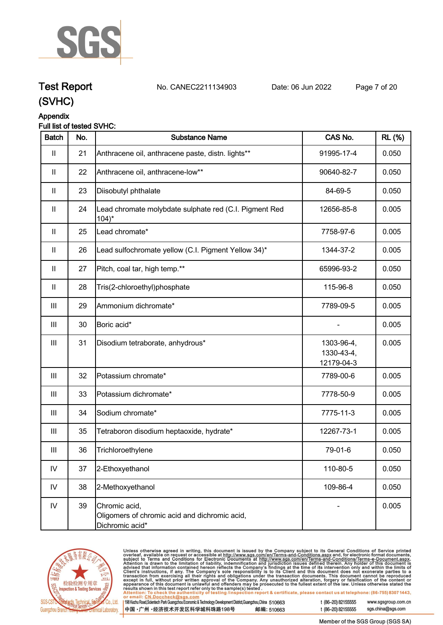

# **Test Report. No. CANEC2211134903 . Date: 06 Jun 2022. Page 7 of 20.**

**(SVHC)**

# **Appendix**

# **Full list of tested SVHC:**

| <b>Batch</b>               | No. | <b>Substance Name</b>                                                             | CAS No.                                | <b>RL</b> (%) |
|----------------------------|-----|-----------------------------------------------------------------------------------|----------------------------------------|---------------|
| $\mathbf{II}$              | 21  | Anthracene oil, anthracene paste, distn. lights**                                 | 91995-17-4                             | 0.050         |
| $\mathbf{II}$              | 22  | Anthracene oil, anthracene-low**                                                  | 90640-82-7                             | 0.050         |
| $\mathbf{II}$              | 23  | Diisobutyl phthalate                                                              | 84-69-5                                | 0.050         |
| $\ensuremath{\mathsf{II}}$ | 24  | Lead chromate molybdate sulphate red (C.I. Pigment Red<br>$104$ <sup>*</sup>      | 12656-85-8                             | 0.005         |
| $\mathbf{II}$              | 25  | Lead chromate*                                                                    | 7758-97-6                              | 0.005         |
| $\mathbf{II}$              | 26  | Lead sulfochromate yellow (C.I. Pigment Yellow 34)*                               | 1344-37-2                              | 0.005         |
| $\mathbf{II}$              | 27  | Pitch, coal tar, high temp.**                                                     | 65996-93-2                             | 0.050         |
| $\mathbf{II}$              | 28  | Tris(2-chloroethyl)phosphate                                                      | 115-96-8                               | 0.050         |
| $\mathbf{III}$             | 29  | Ammonium dichromate*                                                              | 7789-09-5                              | 0.005         |
| $\mathbf{III}$             | 30  | Boric acid*                                                                       |                                        | 0.005         |
| $\mathop{\rm III}$         | 31  | Disodium tetraborate, anhydrous*                                                  | 1303-96-4,<br>1330-43-4,<br>12179-04-3 | 0.005         |
| Ш                          | 32  | Potassium chromate*                                                               | 7789-00-6                              | 0.005         |
| Ш                          | 33  | Potassium dichromate*                                                             | 7778-50-9                              | 0.005         |
| $\mathop{\rm III}$         | 34  | Sodium chromate*                                                                  | 7775-11-3                              | 0.005         |
| $\mathbf{III}$             | 35  | Tetraboron disodium heptaoxide, hydrate*                                          | 12267-73-1                             | 0.005         |
| Ш                          | 36  | Trichloroethylene                                                                 | 79-01-6                                | 0.050         |
| IV                         | 37  | 2-Ethoxyethanol                                                                   | 110-80-5                               | 0.050         |
| IV                         | 38  | 2-Methoxyethanol                                                                  | 109-86-4                               | 0.050         |
| ${\sf IV}$                 | 39  | Chromic acid,<br>Oligomers of chromic acid and dichromic acid,<br>Dichromic acid* |                                        | 0.005         |



Unless otherwise agreed in writing, this document is issued by the Company subject to its General Conditions of Service printed<br>overleaf, available on request or accessible at http://www.sgs.com/en/Terms-and-Conditions.as

| 198 Kezhu Road,Scientech Park Guangzhou Economic & Technology Development District,Guangzhou,China 510663 |            |
|-----------------------------------------------------------------------------------------------------------|------------|
| 【中国 •广州 •经济技术开发区科学城科珠路198号                                                                                | 邮编: 510663 |

t (86-20) 82155555 www.sgsgroup.com.cn sgs.china@sgs.com t (86-20) 82155555

Member of the SGS Group (SGS SA)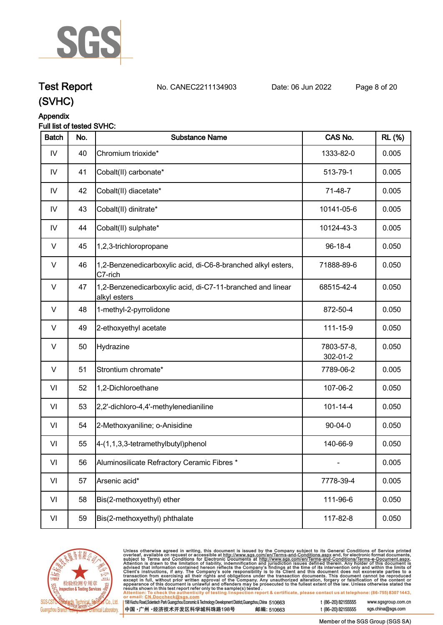

# **Test Report. No. CANEC2211134903 . Date: 06 Jun 2022. Page 8 of 20.**

**(SVHC)**

## **Appendix**

## **Full list of tested SVHC:**

| <b>Batch</b>  | No. | <b>Substance Name</b>                                                      | CAS No.                | <b>RL</b> (%) |
|---------------|-----|----------------------------------------------------------------------------|------------------------|---------------|
| IV            | 40  | Chromium trioxide*                                                         | 1333-82-0              | 0.005         |
| $\mathsf{IV}$ | 41  | Cobalt(II) carbonate*                                                      | 513-79-1               | 0.005         |
| IV            | 42  | Cobalt(II) diacetate*                                                      | 71-48-7                | 0.005         |
| IV            | 43  | Cobalt(II) dinitrate*                                                      | 10141-05-6             | 0.005         |
| IV            | 44  | Cobalt(II) sulphate*                                                       | 10124-43-3             | 0.005         |
| $\vee$        | 45  | 1,2,3-trichloropropane                                                     | 96-18-4                | 0.050         |
| V             | 46  | 1,2-Benzenedicarboxylic acid, di-C6-8-branched alkyl esters,<br>C7-rich    | 71888-89-6             | 0.050         |
| V             | 47  | 1,2-Benzenedicarboxylic acid, di-C7-11-branched and linear<br>alkyl esters | 68515-42-4             | 0.050         |
| V             | 48  | 1-methyl-2-pyrrolidone                                                     | 872-50-4               | 0.050         |
| V             | 49  | 2-ethoxyethyl acetate                                                      | 111-15-9               | 0.050         |
| $\vee$        | 50  | Hydrazine                                                                  | 7803-57-8,<br>302-01-2 | 0.050         |
| $\vee$        | 51  | Strontium chromate*                                                        | 7789-06-2              | 0.005         |
| VI            | 52  | 1,2-Dichloroethane                                                         | 107-06-2               | 0.050         |
| VI            | 53  | 2,2'-dichloro-4,4'-methylenedianiline                                      | $101 - 14 - 4$         | 0.050         |
| VI            | 54  | 2-Methoxyaniline; o-Anisidine                                              | $90 - 04 - 0$          | 0.050         |
| VI            | 55  | 4-(1,1,3,3-tetramethylbutyl)phenol                                         | 140-66-9               | 0.050         |
| VI            | 56  | Aluminosilicate Refractory Ceramic Fibres *                                |                        | 0.005         |
| VI            | 57  | Arsenic acid*                                                              | 7778-39-4              | 0.005         |
| VI            | 58  | Bis(2-methoxyethyl) ether                                                  | 111-96-6               | 0.050         |
| VI            | 59  | Bis(2-methoxyethyl) phthalate                                              | 117-82-8               | 0.050         |
|               |     |                                                                            |                        |               |



Unless otherwise agreed in writing, this document is issued by the Company subject to its General Conditions of Service printed<br>overleaf, available on request or accessible at <u>http://www.sgs.com/en/Terms-and-Conditions.a</u>

| 98 Kezhu Road,Scientech Park Guangzhou Economic & Technology Development District,Guangzhou,China 510663 |            |
|----------------------------------------------------------------------------------------------------------|------------|
| 中国 •广州 •经济技术开发区科学城科珠路198号 »                                                                              | 邮编: 510663 |

sgs.china@sgs.com t (86-20) 82155555

www.sgsgroup.com.cn

Member of the SGS Group (SGS SA)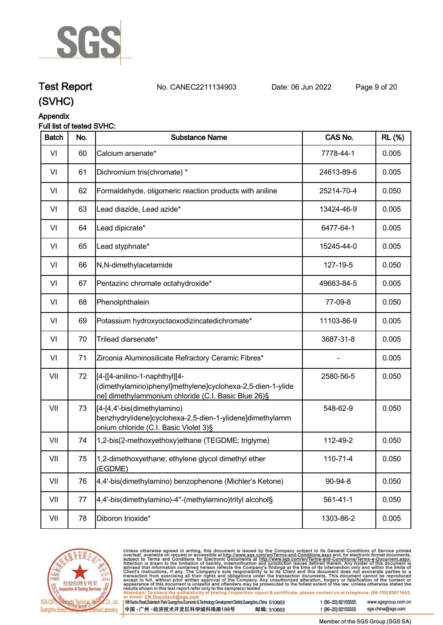

# **Test Report. No. CANEC2211134903 . Date: 06 Jun 2022. Page 9 of 20.**

# **(SVHC)**

# **Appendix**

### **Full list of tested SVHC:**

| <b>Batch</b> | No. | <b>Substance Name</b>                                                                                                                              | CAS No.        | <b>RL</b> (%) |
|--------------|-----|----------------------------------------------------------------------------------------------------------------------------------------------------|----------------|---------------|
| VI           | 60  | Calcium arsenate*                                                                                                                                  | 7778-44-1      | 0.005         |
| VI           | 61  | Dichromium tris(chromate) *                                                                                                                        | 24613-89-6     | 0.005         |
| VI           | 62  | Formaldehyde, oligomeric reaction products with aniline                                                                                            | 25214-70-4     | 0.050         |
| VI           | 63  | Lead diazide, Lead azide*                                                                                                                          | 13424-46-9     | 0.005         |
| VI           | 64  | Lead dipicrate*                                                                                                                                    | 6477-64-1      | 0.005         |
| VI           | 65  | Lead styphnate*                                                                                                                                    | 15245-44-0     | 0.005         |
| VI           | 66  | N,N-dimethylacetamide                                                                                                                              | 127-19-5       | 0.050         |
| VI           | 67  | Pentazinc chromate octahydroxide*                                                                                                                  | 49663-84-5     | 0.005         |
| VI           | 68  | Phenolphthalein                                                                                                                                    | 77-09-8        | 0.050         |
| VI           | 69  | Potassium hydroxyoctaoxodizincatedichromate*                                                                                                       | 11103-86-9     | 0.005         |
| VI           | 70  | Trilead diarsenate*                                                                                                                                | 3687-31-8      | 0.005         |
| VI           | 71  | Zirconia Aluminosilicate Refractory Ceramic Fibres*                                                                                                |                | 0.005         |
| VII          | 72  | [4-[[4-anilino-1-naphthyl][4-<br>(dimethylamino)phenyl]methylene]cyclohexa-2,5-dien-1-ylide<br>ne] dimethylammonium chloride (C.I. Basic Blue 26)§ | 2580-56-5      | 0.050         |
| VII          | 73  | [4-[4,4'-bis(dimethylamino)<br>benzhydrylidene]cyclohexa-2,5-dien-1-ylidene]dimethylamm<br>onium chloride (C.I. Basic Violet 3)§                   | 548-62-9       | 0.050         |
| VII          | 74  | 1,2-bis(2-methoxyethoxy)ethane (TEGDME; triglyme)                                                                                                  | 112-49-2       | 0.050         |
| VII          | 75  | 1,2-dimethoxyethane; ethylene glycol dimethyl ether<br>(EGDME)                                                                                     | 110-71-4       | 0.050         |
| VII          | 76  | 4,4'-bis(dimethylamino) benzophenone (Michler's Ketone)                                                                                            | 90-94-8        | 0.050         |
| VII          | 77  | 4,4'-bis(dimethylamino)-4"-(methylamino)trityl alcohol§                                                                                            | $561 - 41 - 1$ | 0.050         |
| VII          | 78  | Diboron trioxide*                                                                                                                                  | 1303-86-2      | 0.005         |



Unless otherwise agreed in writing, this document is issued by the Company subject to its General Conditions of Service printed<br>overleaf, available on request or accessible at http://www.sgs.com/en/Terms-and-Conditions.as

| 198 Kezhu Road,Scientech Park Guangzhou Economic & Technology Development District,Guangzhou,China 510663 |            |
|-----------------------------------------------------------------------------------------------------------|------------|
| 【中国 •广州 •经济技术开发区科学城科珠路198号                                                                                | 邮编: 510663 |

t (86-20) 82155555 www.sgsgroup.com.cn

t (86-20) 82155555

Member of the SGS Group (SGS SA)

sgs.china@sgs.com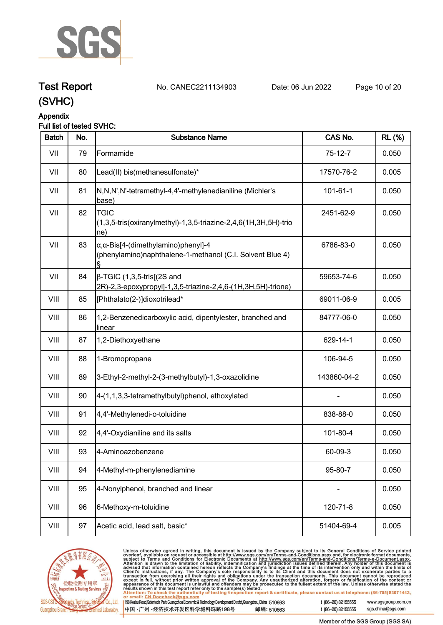

# **Test Report. No. CANEC2211134903 . Date: 06 Jun 2022. Page 10 of 20.**

**(SVHC)**

# **Appendix**

## **Full list of tested SVHC:**

| <b>Batch</b> | No. | <b>Substance Name</b>                                                                                            | CAS No.     | <b>RL (%)</b> |
|--------------|-----|------------------------------------------------------------------------------------------------------------------|-------------|---------------|
| VII          | 79  | Formamide                                                                                                        | $75-12-7$   | 0.050         |
| VII          | 80  | Lead(II) bis(methanesulfonate)*                                                                                  | 17570-76-2  | 0.005         |
| VII          | 81  | N,N,N',N'-tetramethyl-4,4'-methylenedianiline (Michler's<br>base)                                                | 101-61-1    | 0.050         |
| VII          | 82  | <b>TGIC</b><br>$(1,3,5$ -tris(oxiranylmethyl)-1,3,5-triazine-2,4,6(1H,3H,5H)-trio<br>ne)                         | 2451-62-9   | 0.050         |
| VII          | 83  | $\alpha$ , $\alpha$ -Bis[4-(dimethylamino)phenyl]-4<br>(phenylamino)naphthalene-1-methanol (C.I. Solvent Blue 4) | 6786-83-0   | 0.050         |
| VII          | 84  | $\beta$ -TGIC (1,3,5-tris[(2S and<br>2R)-2,3-epoxypropyl]-1,3,5-triazine-2,4,6-(1H,3H,5H)-trione)                | 59653-74-6  | 0.050         |
| VIII         | 85  | [Phthalato(2-)]dioxotrilead*                                                                                     | 69011-06-9  | 0.005         |
| VIII         | 86  | 1,2-Benzenedicarboxylic acid, dipentylester, branched and<br>linear                                              | 84777-06-0  | 0.050         |
| VIII         | 87  | 1,2-Diethoxyethane                                                                                               | 629-14-1    | 0.050         |
| VIII         | 88  | 1-Bromopropane                                                                                                   | 106-94-5    | 0.050         |
| VIII         | 89  | 3-Ethyl-2-methyl-2-(3-methylbutyl)-1,3-oxazolidine                                                               | 143860-04-2 | 0.050         |
| VIII         | 90  | 4-(1,1,3,3-tetramethylbutyl)phenol, ethoxylated                                                                  |             | 0.050         |
| VIII         | 91  | 4,4'-Methylenedi-o-toluidine                                                                                     | 838-88-0    | 0.050         |
| VIII         | 92  | 4,4'-Oxydianiline and its salts                                                                                  | 101-80-4    | 0.050         |
| VIII         | 93  | 4-Aminoazobenzene                                                                                                | 60-09-3     | 0.050         |
| VIII         | 94  | 4-Methyl-m-phenylenediamine                                                                                      | 95-80-7     | 0.050         |
| VIII         | 95  | 4-Nonylphenol, branched and linear                                                                               |             | 0.050         |
| VIII         | 96  | 6-Methoxy-m-toluidine                                                                                            | 120-71-8    | 0.050         |
| VIII         | 97  | Acetic acid, lead salt, basic*                                                                                   | 51404-69-4  | 0.005         |



Unless otherwise agreed in writing, this document is issued by the Company subject to its General Conditions of Service printed<br>overleaf, available on request or accessible at http://www.sgs.com/en/Terms-and-Conditions.as

| 98 Kezhu Road, Scientech Park Guangzhou Economic & Technology Development District, Guangzhou, China 510663 |            |
|-------------------------------------------------------------------------------------------------------------|------------|
| 中国 •广州 •经济技术开发区科学城科珠路198号 ;                                                                                 | 邮编: 510663 |

t (86-20) 82155555 www.sgsgroup.com.cn sgs.china@sgs.com t (86-20) 82155555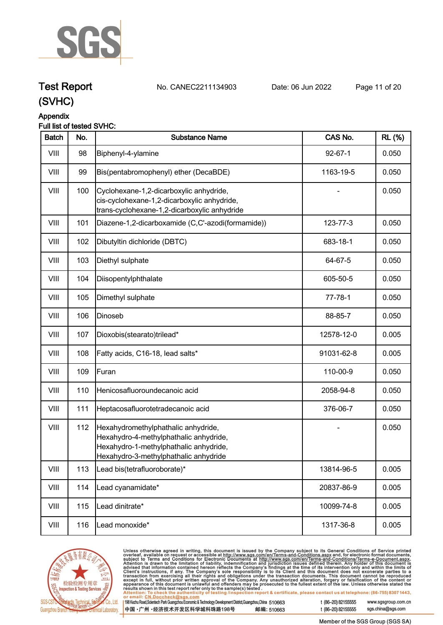

**Test Report. No. CANEC2211134903 . Date: 06 Jun 2022. Page 11 of 20.**

# **(SVHC)**

## **Appendix**

### **Full list of tested SVHC:**

| <b>Batch</b> | No. | <b>Substance Name</b>                                                                                                                                            | CAS No.       | <b>RL</b> (%) |
|--------------|-----|------------------------------------------------------------------------------------------------------------------------------------------------------------------|---------------|---------------|
| VIII         | 98  | Biphenyl-4-ylamine                                                                                                                                               | $92 - 67 - 1$ | 0.050         |
| VIII         | 99  | Bis(pentabromophenyl) ether (DecaBDE)                                                                                                                            | 1163-19-5     | 0.050         |
| VIII         | 100 | Cyclohexane-1,2-dicarboxylic anhydride,<br>cis-cyclohexane-1,2-dicarboxylic anhydride,<br>trans-cyclohexane-1,2-dicarboxylic anhydride                           |               | 0.050         |
| VIII         | 101 | Diazene-1,2-dicarboxamide (C,C'-azodi(formamide))                                                                                                                | 123-77-3      | 0.050         |
| VIII         | 102 | Dibutyltin dichloride (DBTC)                                                                                                                                     | 683-18-1      | 0.050         |
| VIII         | 103 | Diethyl sulphate                                                                                                                                                 | 64-67-5       | 0.050         |
| VIII         | 104 | Diisopentylphthalate                                                                                                                                             | 605-50-5      | 0.050         |
| VIII         | 105 | Dimethyl sulphate                                                                                                                                                | $77 - 78 - 1$ | 0.050         |
| VIII         | 106 | Dinoseb                                                                                                                                                          | 88-85-7       | 0.050         |
| VIII         | 107 | Dioxobis(stearato)trilead*                                                                                                                                       | 12578-12-0    | 0.005         |
| VIII         | 108 | Fatty acids, C16-18, lead salts*                                                                                                                                 | 91031-62-8    | 0.005         |
| VIII         | 109 | Furan                                                                                                                                                            | 110-00-9      | 0.050         |
| VIII         | 110 | Henicosafluoroundecanoic acid                                                                                                                                    | 2058-94-8     | 0.050         |
| VIII         | 111 | Heptacosafluorotetradecanoic acid                                                                                                                                | 376-06-7      | 0.050         |
| VIII         | 112 | Hexahydromethylphathalic anhydride,<br>Hexahydro-4-methylphathalic anhydride,<br>Hexahydro-1-methylphathalic anhydride,<br>Hexahydro-3-methylphathalic anhydride |               | 0.050         |
| VIII         | 113 | Lead bis(tetrafluoroborate)*                                                                                                                                     | 13814-96-5    | 0.005         |
| VIII         | 114 | Lead cyanamidate*                                                                                                                                                | 20837-86-9    | 0.005         |
| VIII         | 115 | Lead dinitrate*                                                                                                                                                  | 10099-74-8    | 0.005         |
| VIII         | 116 | Lead monoxide*                                                                                                                                                   | 1317-36-8     | 0.005         |



Unless otherwise agreed in writing, this document is issued by the Company subject to its General Conditions of Service printed<br>overleaf, available on request or accessible at <u>http://www.sgs.com/en/Terms-and-Conditions.a</u> 6-20) 82155555 www.sgsgroup.com.cn

| 98 Kezhu Road,Scientech Park Guangzhou Economic & Technology Development District,Guangzhou,China 510663 |            | t (8 |
|----------------------------------------------------------------------------------------------------------|------------|------|
| 中国 •广州 •经济技术开发区科学城科珠路198号 ;                                                                              | 邮编: 510663 | t (8 |

6-20) 82155555 Member of the SGS Group (SGS SA)

sgs.china@sgs.com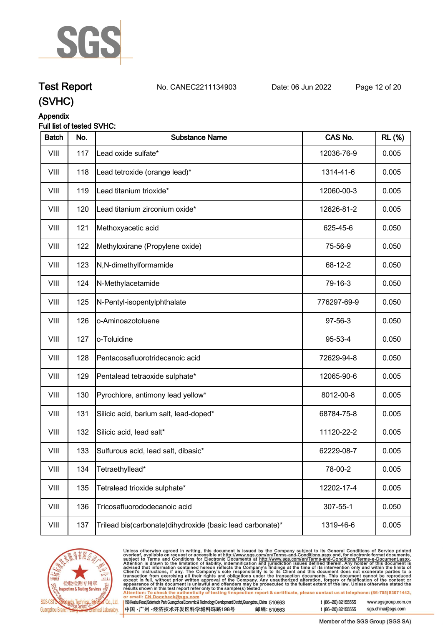

# **Test Report. No. CANEC2211134903 . Date: 06 Jun 2022. Page 12 of 20.**

**(SVHC)**

## **Appendix**

## **Full list of tested SVHC:**

| <b>Batch</b> | No. | <b>Substance Name</b>                                       | CAS No.     | <b>RL (%)</b> |
|--------------|-----|-------------------------------------------------------------|-------------|---------------|
| VIII         | 117 | Lead oxide sulfate*                                         | 12036-76-9  | 0.005         |
| VIII         | 118 | Lead tetroxide (orange lead)*                               | 1314-41-6   | 0.005         |
| VIII         | 119 | Lead titanium trioxide*                                     | 12060-00-3  | 0.005         |
| VIII         | 120 | Lead titanium zirconium oxide*                              | 12626-81-2  | 0.005         |
| VIII         | 121 | Methoxyacetic acid                                          | 625-45-6    | 0.050         |
| VIII         | 122 | Methyloxirane (Propylene oxide)                             | 75-56-9     | 0.050         |
| VIII         | 123 | N,N-dimethylformamide                                       | 68-12-2     | 0.050         |
| VIII         | 124 | N-Methylacetamide                                           | 79-16-3     | 0.050         |
| VIII         | 125 | N-Pentyl-isopentylphthalate                                 | 776297-69-9 | 0.050         |
| VIII         | 126 | o-Aminoazotoluene                                           | 97-56-3     | 0.050         |
| VIII         | 127 | o-Toluidine                                                 | 95-53-4     | 0.050         |
| VIII         | 128 | Pentacosafluorotridecanoic acid                             | 72629-94-8  | 0.050         |
| VIII         | 129 | Pentalead tetraoxide sulphate*                              | 12065-90-6  | 0.005         |
| VIII         | 130 | Pyrochlore, antimony lead yellow*                           | 8012-00-8   | 0.005         |
| VIII         | 131 | Silicic acid, barium salt, lead-doped*                      | 68784-75-8  | 0.005         |
| VIII         | 132 | Silicic acid, lead salt*                                    | 11120-22-2  | 0.005         |
| VIII         | 133 | Sulfurous acid, lead salt, dibasic*                         | 62229-08-7  | 0.005         |
| VIII         | 134 | Tetraethyllead*                                             | 78-00-2     | 0.005         |
| VIII         | 135 | Tetralead trioxide sulphate*                                | 12202-17-4  | 0.005         |
| VIII         | 136 | Tricosafluorododecanoic acid                                | 307-55-1    | 0.050         |
| VIII         | 137 | Trilead bis(carbonate) dihy droxide (basic lead carbonate)* | 1319-46-6   | 0.005         |



Unless otherwise agreed in writing, this document is issued by the Company subject to its General Conditions of Service printed<br>overleaf, available on request or accessible at http://www.sgs.com/en/Terms-and-Conditions.asp  $\overline{119}$ t (86-20) 82155555

| 198 Kezhu Road,Scientech Park Guangzhou Economic & Technology Development District,Guangzhou,China 510663 |            |
|-----------------------------------------------------------------------------------------------------------|------------|
| 中国 •广州 •经济技术开发区科学城科珠路198号                                                                                 | 邮编: 510663 |

www.sgsgroup.com.cn sgs.china@sgs.com t (86-20) 82155555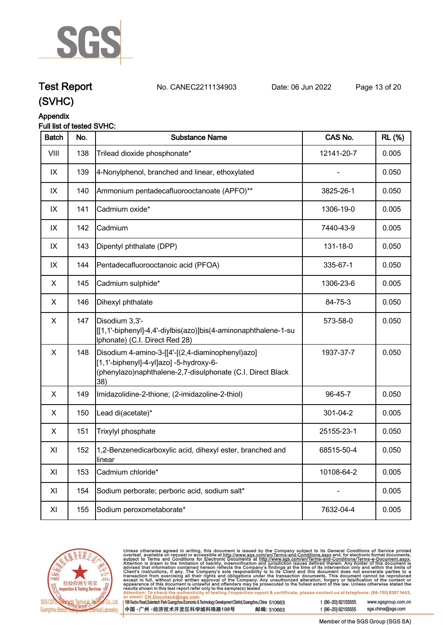

# **Test Report. No. CANEC2211134903 . Date: 06 Jun 2022. Page 13 of 20.**

**(SVHC)**

#### **Appendix Full list of tested SVHC:**

| <b>Batch</b>   | No. | <b>Substance Name</b>                                                                                                                                            | CAS No.    | <b>RL (%)</b> |
|----------------|-----|------------------------------------------------------------------------------------------------------------------------------------------------------------------|------------|---------------|
| VIII           | 138 | Trilead dioxide phosphonate*                                                                                                                                     | 12141-20-7 | 0.005         |
| IX             | 139 | 4-Nonylphenol, branched and linear, ethoxylated                                                                                                                  |            | 0.050         |
| IX             | 140 | Ammonium pentadecafluorooctanoate (APFO)**                                                                                                                       | 3825-26-1  | 0.050         |
| IX             | 141 | Cadmium oxide*                                                                                                                                                   | 1306-19-0  | 0.005         |
| IX             | 142 | Cadmium                                                                                                                                                          | 7440-43-9  | 0.005         |
| IX             | 143 | Dipentyl phthalate (DPP)                                                                                                                                         | 131-18-0   | 0.050         |
| IX             | 144 | Pentadecafluorooctanoic acid (PFOA)                                                                                                                              | 335-67-1   | 0.050         |
| X              | 145 | Cadmium sulphide*                                                                                                                                                | 1306-23-6  | 0.005         |
| X              | 146 | Dihexyl phthalate                                                                                                                                                | 84-75-3    | 0.050         |
| X              | 147 | Disodium 3,3'-<br>[[[1,1'-biphenyl]-4,4'-diylbis(azo)]bis(4-aminonaphthalene-1-su<br>Iphonate) (C.I. Direct Red 28)                                              | 573-58-0   | 0.050         |
| $\pmb{\times}$ | 148 | Disodium 4-amino-3-[[4'-[(2,4-diaminophenyl)azo]<br>[1,1'-biphenyl]-4-yl]azo] -5-hydroxy-6-<br>(phenylazo)naphthalene-2,7-disulphonate (C.I. Direct Black<br>38) | 1937-37-7  | 0.050         |
| X              | 149 | Imidazolidine-2-thione; (2-imidazoline-2-thiol)                                                                                                                  | 96-45-7    | 0.050         |
| X              | 150 | Lead di(acetate)*                                                                                                                                                | 301-04-2   | 0.005         |
| X              | 151 | Trixylyl phosphate                                                                                                                                               | 25155-23-1 | 0.050         |
| XI             | 152 | 1,2-Benzenedicarboxylic acid, dihexyl ester, branched and<br>linear                                                                                              | 68515-50-4 | 0.050         |
| XI             | 153 | Cadmium chloride*                                                                                                                                                | 10108-64-2 | 0.005         |
| XI             | 154 | Sodium perborate; perboric acid, sodium salt*                                                                                                                    |            | 0.005         |
| XI             | 155 | Sodium peroxometaborate*                                                                                                                                         | 7632-04-4  | 0.005         |



Unless otherwise agreed in writing, this document is issued by the Company subject to its General Conditions of Service printed<br>overleaf, available on request or accessible at <u>http://www.sgs.com/en/Terms-and-Conditions.a</u>

| 198 Kezhu Road,Scientech Park Guangzhou Economic & Technology Development District,Guangzhou,China 510663 |            |
|-----------------------------------------------------------------------------------------------------------|------------|
| 中国 •广州 •经济技术开发区科学城科珠路198号                                                                                 | 邮编: 510663 |

t (86-20) 82155555 www.sgsgroup.com.cn sgs.china@sgs.com t (86-20) 82155555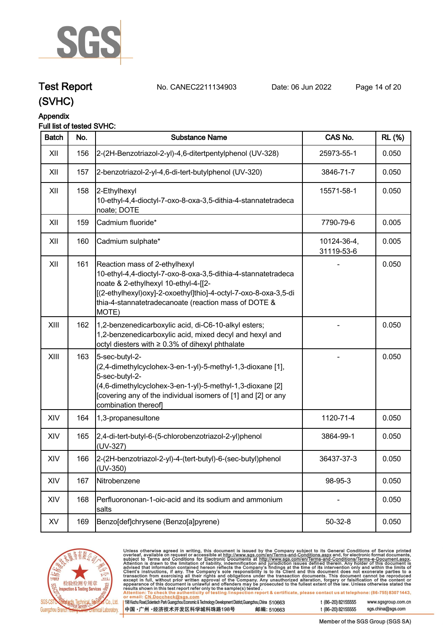

# **Test Report. No. CANEC2211134903 . Date: 06 Jun 2022. Page 14 of 20.**

**(SVHC)**

## **Appendix**

# **Full list of tested SVHC:**

| <b>Batch</b> | No. | <b>Substance Name</b>                                                                                                                                                                                                                                                      | CAS No.                   | <b>RL (%)</b> |
|--------------|-----|----------------------------------------------------------------------------------------------------------------------------------------------------------------------------------------------------------------------------------------------------------------------------|---------------------------|---------------|
| XII          | 156 | 2-(2H-Benzotriazol-2-yl)-4,6-ditertpentylphenol (UV-328)                                                                                                                                                                                                                   | 25973-55-1                | 0.050         |
| XII          | 157 | 2-benzotriazol-2-yl-4,6-di-tert-butylphenol (UV-320)                                                                                                                                                                                                                       | 3846-71-7                 | 0.050         |
| XII          | 158 | 2-Ethylhexyl<br>10-ethyl-4,4-dioctyl-7-oxo-8-oxa-3,5-dithia-4-stannatetradeca<br>noate; DOTE                                                                                                                                                                               | 15571-58-1                | 0.050         |
| XII          | 159 | Cadmium fluoride*                                                                                                                                                                                                                                                          | 7790-79-6                 | 0.005         |
| XII          | 160 | Cadmium sulphate*                                                                                                                                                                                                                                                          | 10124-36-4,<br>31119-53-6 | 0.005         |
| XII          | 161 | Reaction mass of 2-ethylhexyl<br>10-ethyl-4,4-dioctyl-7-oxo-8-oxa-3,5-dithia-4-stannatetradeca<br>noate & 2-ethylhexyl 10-ethyl-4-[[2-<br>[(2-ethylhexyl)oxy]-2-oxoethyl]thio]-4-octyl-7-oxo-8-oxa-3,5-di<br>thia-4-stannatetradecanoate (reaction mass of DOTE &<br>MOTE) |                           | 0.050         |
| XIII         | 162 | 1,2-benzenedicarboxylic acid, di-C6-10-alkyl esters;<br>1,2-benzenedicarboxylic acid, mixed decyl and hexyl and<br>octyl diesters with ≥ 0.3% of dihexyl phthalate                                                                                                         |                           | 0.050         |
| XIII         | 163 | 5-sec-butyl-2-<br>(2,4-dimethylcyclohex-3-en-1-yl)-5-methyl-1,3-dioxane [1],<br>5-sec-butyl-2-<br>(4,6-dimethylcyclohex-3-en-1-yl)-5-methyl-1,3-dioxane [2]<br>[covering any of the individual isomers of [1] and [2] or any<br>combination thereof]                       |                           | 0.050         |
| XIV          | 164 | 1,3-propanesultone                                                                                                                                                                                                                                                         | 1120-71-4                 | 0.050         |
| XIV          | 165 | 2,4-di-tert-butyl-6-(5-chlorobenzotriazol-2-yl)phenol<br>(UV-327)                                                                                                                                                                                                          | 3864-99-1                 | 0.050         |
| XIV          | 166 | 2-(2H-benzotriazol-2-yl)-4-(tert-butyl)-6-(sec-butyl)phenol<br>$(UV-350)$                                                                                                                                                                                                  | 36437-37-3                | 0.050         |
| XIV          | 167 | Nitrobenzene                                                                                                                                                                                                                                                               | 98-95-3                   | 0.050         |
| XIV          | 168 | Perfluorononan-1-oic-acid and its sodium and ammonium<br>salts                                                                                                                                                                                                             |                           | 0.050         |
| XV           | 169 | Benzo[def]chrysene (Benzo[a]pyrene)                                                                                                                                                                                                                                        | $50 - 32 - 8$             | 0.050         |



Unless otherwise agreed in writing, this document is issued by the Company subject to its General Conditions of Service printed<br>overleaf, available on request or accessible at http://www.sgs.com/en/Terms-and-Conditions.as

| 1998 Kezhu Road,Scientech Park Guangzhou Economic & Technology Development District,Guangzhou,China 510663 |            |
|------------------------------------------------------------------------------------------------------------|------------|
| 【中国 •广州 •经济技术开发区科学城科珠路198号                                                                                 | 邮编: 510663 |

t (86-20) 82155555 www.sgsgroup.com.cn sgs.china@sgs.com t (86-20) 82155555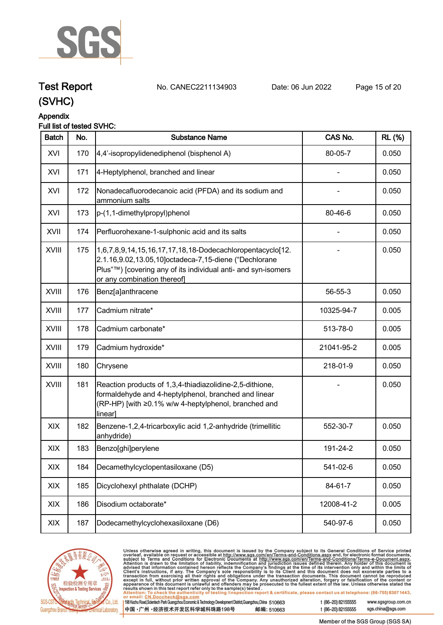

# **Test Report. No. CANEC2211134903 . Date: 06 Jun 2022. Page 15 of 20.**

**(SVHC)**

# **Appendix**

# **Full list of tested SVHC:**

| <b>Batch</b> | No. | <b>Substance Name</b>                                                                                                                                                                                              | CAS No.    | <b>RL</b> (%) |
|--------------|-----|--------------------------------------------------------------------------------------------------------------------------------------------------------------------------------------------------------------------|------------|---------------|
| XVI          | 170 | 4,4'-isopropylidenediphenol (bisphenol A)                                                                                                                                                                          | 80-05-7    | 0.050         |
| XVI          | 171 | 4-Heptylphenol, branched and linear                                                                                                                                                                                |            | 0.050         |
| XVI          | 172 | Nonadecafluorodecanoic acid (PFDA) and its sodium and<br>ammonium salts                                                                                                                                            |            | 0.050         |
| XVI          | 173 | p-(1,1-dimethylpropyl)phenol                                                                                                                                                                                       | 80-46-6    | 0.050         |
| XVII         | 174 | Perfluorohexane-1-sulphonic acid and its salts                                                                                                                                                                     |            | 0.050         |
| XVIII        | 175 | 1,6,7,8,9,14,15,16,17,17,18,18-Dodecachloropentacyclo[12.<br>2.1.16,9.02,13.05,10]octadeca-7,15-diene ("Dechlorane<br>Plus"™) [covering any of its individual anti- and syn-isomers<br>or any combination thereof] |            | 0.050         |
| <b>XVIII</b> | 176 | Benz[a]anthracene                                                                                                                                                                                                  | 56-55-3    | 0.050         |
| <b>XVIII</b> | 177 | Cadmium nitrate*                                                                                                                                                                                                   | 10325-94-7 | 0.005         |
| <b>XVIII</b> | 178 | Cadmium carbonate*                                                                                                                                                                                                 | 513-78-0   | 0.005         |
| XVIII        | 179 | Cadmium hydroxide*                                                                                                                                                                                                 | 21041-95-2 | 0.005         |
| XVIII        | 180 | Chrysene                                                                                                                                                                                                           | 218-01-9   | 0.050         |
| <b>XVIII</b> | 181 | Reaction products of 1,3,4-thiadiazolidine-2,5-dithione,<br>formaldehyde and 4-heptylphenol, branched and linear<br>(RP-HP) [with ≥0.1% w/w 4-heptylphenol, branched and<br>linear]                                |            | 0.050         |
| XIX          | 182 | Benzene-1,2,4-tricarboxylic acid 1,2-anhydride (trimellitic<br>anhydride)                                                                                                                                          | 552-30-7   | 0.050         |
| XIX          | 183 | Benzo[ghi]perylene                                                                                                                                                                                                 | 191-24-2   | 0.050         |
| XIX          | 184 | Decamethylcyclopentasiloxane (D5)                                                                                                                                                                                  | 541-02-6   | 0.050         |
| XIX          | 185 | Dicyclohexyl phthalate (DCHP)                                                                                                                                                                                      | 84-61-7    | 0.050         |
| XIX          | 186 | Disodium octaborate*                                                                                                                                                                                               | 12008-41-2 | 0.005         |
| XIX          | 187 | Dodecamethylcyclohexasiloxane (D6)                                                                                                                                                                                 | 540-97-6   | 0.050         |



Unless otherwise agreed in writing, this document is issued by the Company subject to its General Conditions of Service printed<br>overleaf, available on request or accessible at http://www.sgs.com/en/Terms-and-Conditions.as

| 198 Kezhu Road,Scientech Park Guangzhou Economic & Technology Development District,Guangzhou,China 510663 |            |
|-----------------------------------------------------------------------------------------------------------|------------|
| 【中国 •广州 •经济技术开发区科学城科珠路198号 ↓                                                                              | 邮编: 510663 |

t (86-20) 82155555 www.sgsgroup.com.cn sgs.china@sgs.com t (86-20) 82155555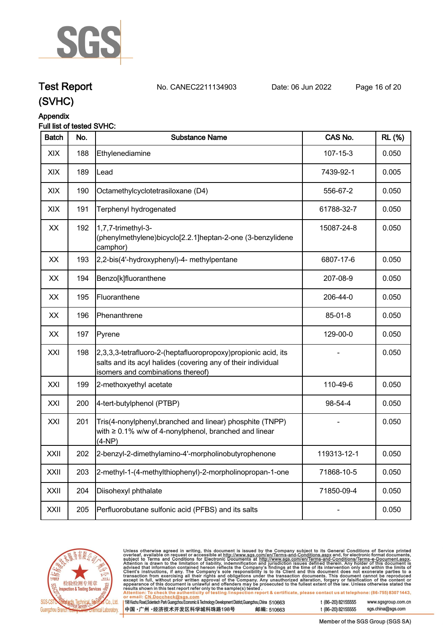

# **Test Report. No. CANEC2211134903 . Date: 06 Jun 2022. Page 16 of 20.**

**(SVHC)**

# **Appendix**

## **Full list of tested SVHC:**

| <b>Batch</b> | No. | <b>Substance Name</b>                                                                                                                                                | CAS No.     | <b>RL</b> (%) |
|--------------|-----|----------------------------------------------------------------------------------------------------------------------------------------------------------------------|-------------|---------------|
| XIX          | 188 | Ethylenediamine                                                                                                                                                      | 107-15-3    | 0.050         |
| XIX          | 189 | Lead                                                                                                                                                                 | 7439-92-1   | 0.005         |
| XIX          | 190 | Octamethylcyclotetrasiloxane (D4)                                                                                                                                    | 556-67-2    | 0.050         |
| XIX          | 191 | Terphenyl hydrogenated                                                                                                                                               | 61788-32-7  | 0.050         |
| XX           | 192 | 1,7,7-trimethyl-3-<br>phenylmethylene)bicyclo[2.2.1]heptan-2-one (3-benzylidene)<br>camphor)                                                                         | 15087-24-8  | 0.050         |
| XX           | 193 | 2,2-bis(4'-hydroxyphenyl)-4- methylpentane                                                                                                                           | 6807-17-6   | 0.050         |
| XX           | 194 | Benzo[k]fluoranthene                                                                                                                                                 | 207-08-9    | 0.050         |
| XX           | 195 | Fluoranthene                                                                                                                                                         | 206-44-0    | 0.050         |
| XX           | 196 | Phenanthrene                                                                                                                                                         | 85-01-8     | 0.050         |
| XX           | 197 | Pyrene                                                                                                                                                               | 129-00-0    | 0.050         |
| XXI          | 198 | [2,3,3,3-tetrafluoro-2-(heptafluoropropoxy) propionic acid, its<br>salts and its acyl halides (covering any of their individual<br>isomers and combinations thereof) |             | 0.050         |
| XXI          | 199 | 2-methoxyethyl acetate                                                                                                                                               | 110-49-6    | 0.050         |
| XXI          | 200 | 4-tert-butylphenol (PTBP)                                                                                                                                            | 98-54-4     | 0.050         |
| XXI          | 201 | Tris(4-nonylphenyl, branched and linear) phosphite (TNPP)<br>with $\geq 0.1\%$ w/w of 4-nonylphenol, branched and linear<br>$(4-NP)$                                 |             | 0.050         |
| XXII         | 202 | 2-benzyl-2-dimethylamino-4'-morpholinobutyrophenone                                                                                                                  | 119313-12-1 | 0.050         |
| XXII         | 203 | 2-methyl-1-(4-methylthiophenyl)-2-morpholinopropan-1-one                                                                                                             | 71868-10-5  | 0.050         |
| XXII         | 204 | Diisohexyl phthalate                                                                                                                                                 | 71850-09-4  | 0.050         |
| XXII         | 205 | Perfluorobutane sulfonic acid (PFBS) and its salts                                                                                                                   |             | 0.050         |



Unless otherwise agreed in writing, this document is issued by the Company subject to its General Conditions of Service printed overleaf, available on request or accessible at http://www.sgs.com/en/Terms-and-Conditions.as

198 Kezhu Road, Scientech Park Guangzhou Economic & Technology Development District, Guangzhou, China 510663 邮编: 510663 中国·广州·经济技术开发区科学城科珠路198号

t (86-20) 82155555 www.sgsgroup.com.cn sgs.china@sgs.com

t (86-20) 82155555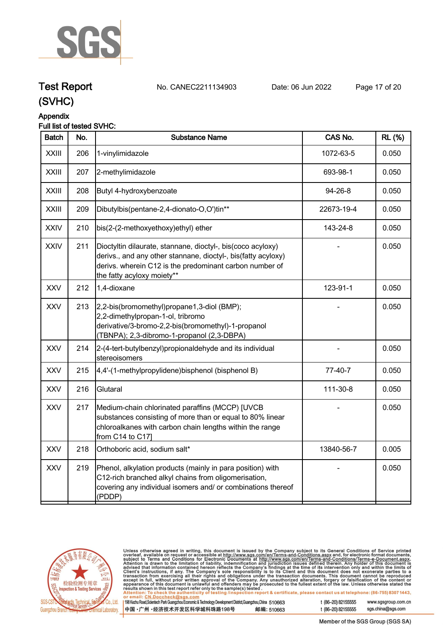

# **Test Report. No. CANEC2211134903 . Date: 06 Jun 2022. Page 17 of 20.**

**(SVHC)**

# **Appendix**

## **Full list of tested SVHC:**

| <b>Batch</b> | No. | <b>Substance Name</b>                                                                                                                                                                                                 | CAS No.    | <b>RL (%)</b> |
|--------------|-----|-----------------------------------------------------------------------------------------------------------------------------------------------------------------------------------------------------------------------|------------|---------------|
| <b>XXIII</b> | 206 | 1-vinylimidazole                                                                                                                                                                                                      | 1072-63-5  | 0.050         |
| <b>XXIII</b> | 207 | 2-methylimidazole                                                                                                                                                                                                     | 693-98-1   | 0.050         |
| <b>XXIII</b> | 208 | Butyl 4-hydroxybenzoate                                                                                                                                                                                               | 94-26-8    | 0.050         |
| <b>XXIII</b> | 209 | Dibutylbis(pentane-2,4-dionato-O,O')tin**                                                                                                                                                                             | 22673-19-4 | 0.050         |
| <b>XXIV</b>  | 210 | bis(2-(2-methoxyethoxy)ethyl) ether                                                                                                                                                                                   | 143-24-8   | 0.050         |
| <b>XXIV</b>  | 211 | Dioctyltin dilaurate, stannane, dioctyl-, bis(coco acyloxy)<br>derivs., and any other stannane, dioctyl-, bis(fatty acyloxy)<br>derivs. wherein C12 is the predominant carbon number of<br>the fatty acyloxy moiety** |            | 0.050         |
| <b>XXV</b>   | 212 | 1,4-dioxane                                                                                                                                                                                                           | 123-91-1   | 0.050         |
| <b>XXV</b>   | 213 | 2,2-bis(bromomethyl)propane1,3-diol (BMP);<br>2,2-dimethylpropan-1-ol, tribromo<br>derivative/3-bromo-2,2-bis(bromomethyl)-1-propanol<br>(TBNPA); 2,3-dibromo-1-propanol (2,3-DBPA)                                   |            | 0.050         |
| <b>XXV</b>   | 214 | 2-(4-tert-butylbenzyl) propionaldehyde and its individual<br>stereoisomers                                                                                                                                            |            | 0.050         |
| <b>XXV</b>   | 215 | 4,4'-(1-methylpropylidene)bisphenol (bisphenol B)                                                                                                                                                                     | 77-40-7    | 0.050         |
| <b>XXV</b>   | 216 | Glutaral                                                                                                                                                                                                              | 111-30-8   | 0.050         |
| <b>XXV</b>   | 217 | Medium-chain chlorinated paraffins (MCCP) [UVCB<br>substances consisting of more than or equal to 80% linear<br>chloroalkanes with carbon chain lengths within the range<br>from C14 to C17]                          |            | 0.050         |
| <b>XXV</b>   | 218 | Orthoboric acid, sodium salt*                                                                                                                                                                                         | 13840-56-7 | 0.005         |
| <b>XXV</b>   | 219 | Phenol, alkylation products (mainly in para position) with<br>C12-rich branched alkyl chains from oligomerisation,<br>covering any individual isomers and/ or combinations thereof<br>(PDDP)                          |            | 0.050         |
|              |     |                                                                                                                                                                                                                       |            |               |



Unless otherwise agreed in writing, this document is issued by the Company subject to its General Conditions of Service printed overleaf, available on request or accessible at http://www.sgs.com/en/Terms-and-Conditions.as

198 Kezhu Road, Scientech Park Guangzhou Economic & Technology Development District, Guangzhou, China 510663 中国·广州·经济技术开发区科学城科珠路198号 邮编: 510663 t (86-20) 82155555

t (86-20) 82155555

www.sgsgroup.com.cn sgs.china@sgs.com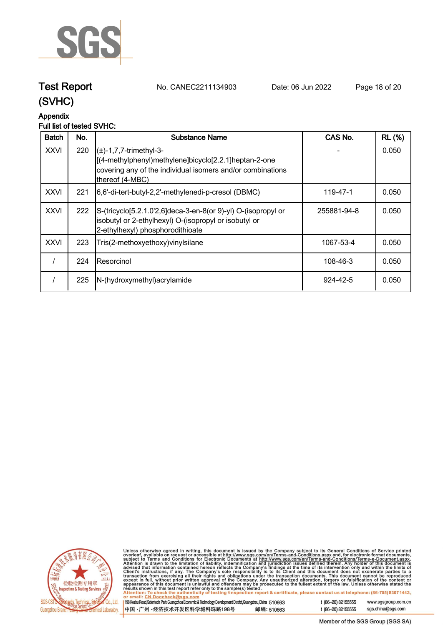

**Test Report. No. CANEC2211134903 . Date: 06 Jun 2022. Page 18 of 20.**

# **(SVHC)**

# **Appendix**

# **Full list of tested SVHC:**

| <b>Batch</b> | No. | Substance Name                                                                                                                                                                     | CAS No.     | <b>RL (%)</b> |
|--------------|-----|------------------------------------------------------------------------------------------------------------------------------------------------------------------------------------|-------------|---------------|
| <b>XXVI</b>  | 220 | $\left( \pm \right)$ -1,7,7-trimethyl-3-<br>[(4-methylphenyl)methylene]bicyclo[2.2.1]heptan-2-one<br>covering any of the individual isomers and/or combinations<br>thereof (4-MBC) |             | 0.050         |
| <b>XXVI</b>  | 221 | [6,6'-di-tert-butyl-2,2'-methylenedi-p-cresol (DBMC)                                                                                                                               | 119-47-1    | 0.050         |
| <b>XXVI</b>  | 222 | S-(tricyclo[5.2.1.0'2,6]deca-3-en-8(or 9)-yl) O-(isopropyl or<br>isobutyl or 2-ethylhexyl) O-(isopropyl or isobutyl or<br>2-ethylhexyl) phosphorodithioate                         | 255881-94-8 | 0.050         |
| <b>XXVI</b>  | 223 | Tris(2-methoxyethoxy) vinyl silane                                                                                                                                                 | 1067-53-4   | 0.050         |
|              | 224 | IResorcinol                                                                                                                                                                        | 108-46-3    | 0.050         |
|              | 225 | N-(hydroxymethyl) acrylamide                                                                                                                                                       | 924-42-5    | 0.050         |



Unless otherwise agreed in writing, this document is issued by the Company subject to its General Conditions of Service printed<br>overleaf, available on request or accessible at http://www.sgs.com/en/Terms-and-Conditions.as

| 198 Kezhu Road, Scientech Park Guangzhou Economic & Technology Development District, Guangzhou, China 510663 |            |
|--------------------------------------------------------------------------------------------------------------|------------|
| 中国 •广州 •经济技术开发区科学城科珠路198号                                                                                    | 邮编: 510663 |

sgs.china@sgs.com t (86-20) 82155555

www.sgsgroup.com.cn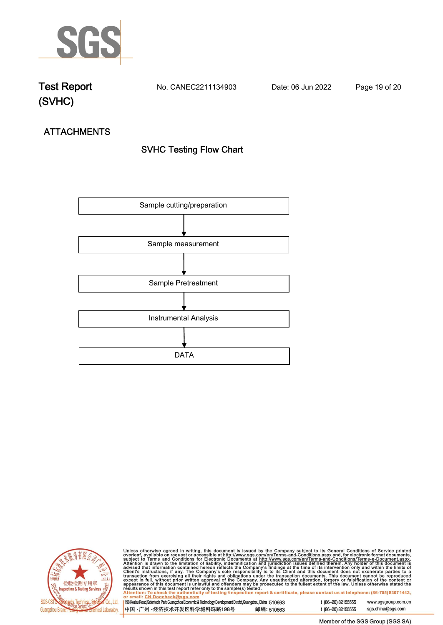

**Test Report. No. CANEC2211134903 . Date: 06 Jun 2022. Page 19 of 20.**

# **ATTACHMENTS SVHC Testing Flow Chart**





Unless otherwise agreed in writing, this document is issued by the Company subject to its General Conditions of Service printed overleaf, available on request or accessible at http://www.sgs.com/en/Terms-and-Conditions.as

198 Kezhu Road, Scientech Park Guangzhou Economic & Technology Development District, Guangzhou, China 510663 中国·广州·经济技术开发区科学城科珠路198号 邮编: 510663

t (86-20) 82155555 sgs.china@sgs.com Member of the SGS Group (SGS SA)

www.sgsgroup.com.cn